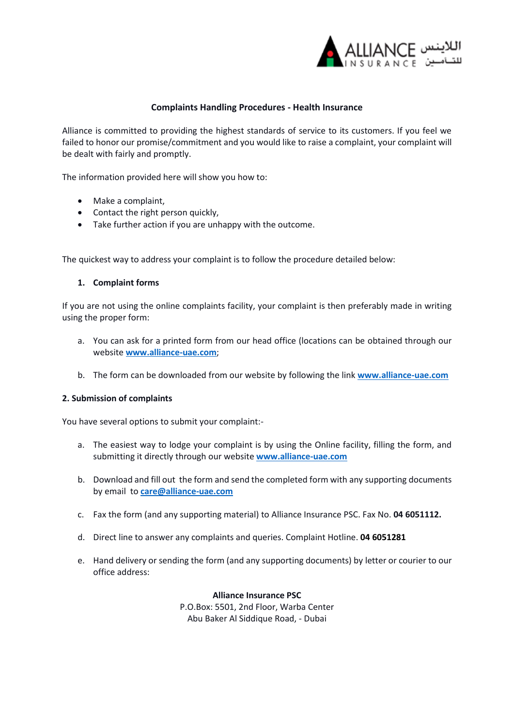

# **Complaints Handling Procedures - Health Insurance**

Alliance is committed to providing the highest standards of service to its customers. If you feel we failed to honor our promise/commitment and you would like to raise a complaint, your complaint will be dealt with fairly and promptly.

The information provided here will show you how to:

- Make a complaint,
- Contact the right person quickly,
- Take further action if you are unhappy with the outcome.

The quickest way to address your complaint is to follow the procedure detailed below:

## **1. Complaint forms**

If you are not using the online complaints facility, your complaint is then preferably made in writing using the proper form:

- a. You can ask for a printed form from our head office (locations can be obtained through our website **[www.alliance-uae.com](http://www.alliance-uae.com/)**;
- b. The form can be downloaded from our website by following the link **[www.alliance-uae.com](http://www.alliance-uae.com/)**

# **2. Submission of complaints**

You have several options to submit your complaint:-

- a. The easiest way to lodge your complaint is by using the Online facility, filling the form, and submitting it directly through our website **[www.alliance-uae.com](http://www.alliance-uae.com/)**
- b. Download and fill out the form and send the completed form with any supporting documents by email to **[care@alliance-uae.com](mailto:care@alliance-uae.com)**
- c. Fax the form (and any supporting material) to Alliance Insurance PSC. Fax No. **04 6051112.**
- d. Direct line to answer any complaints and queries. Complaint Hotline. **04 6051281**
- e. Hand delivery or sending the form (and any supporting documents) by letter or courier to our office address:

**Alliance Insurance PSC** P.O.Box: 5501, 2nd Floor, Warba Center Abu Baker Al Siddique Road, - Dubai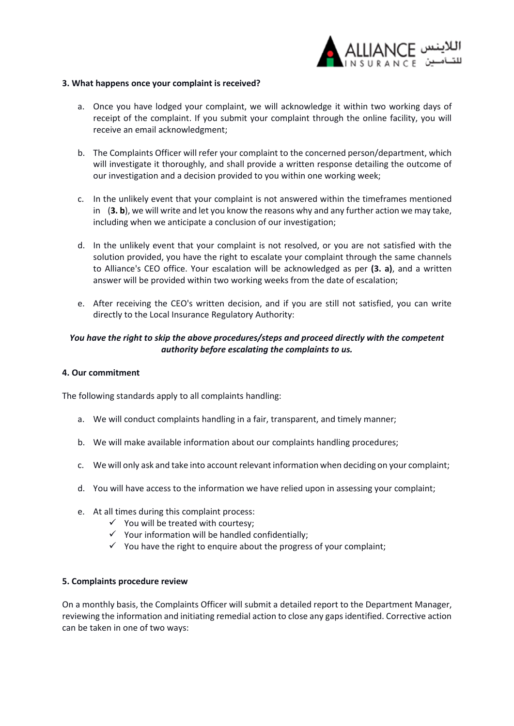

## **3. What happens once your complaint is received?**

- a. Once you have lodged your complaint, we will acknowledge it within two working days of receipt of the complaint. If you submit your complaint through the online facility, you will receive an email acknowledgment;
- b. The Complaints Officer will refer your complaint to the concerned person/department, which will investigate it thoroughly, and shall provide a written response detailing the outcome of our investigation and a decision provided to you within one working week;
- c. In the unlikely event that your complaint is not answered within the timeframes mentioned in (**3. b**), we will write and let you know the reasons why and any further action we may take, including when we anticipate a conclusion of our investigation;
- d. In the unlikely event that your complaint is not resolved, or you are not satisfied with the solution provided, you have the right to escalate your complaint through the same channels to Alliance's CEO office. Your escalation will be acknowledged as per **(3. a)**, and a written answer will be provided within two working weeks from the date of escalation;
- e. After receiving the CEO's written decision, and if you are still not satisfied, you can write directly to the Local Insurance Regulatory Authority:

# *You have the right to skip the above procedures/steps and proceed directly with the competent authority before escalating the complaints to us.*

#### **4. Our commitment**

The following standards apply to all complaints handling:

- a. We will conduct complaints handling in a fair, transparent, and timely manner;
- b. We will make available information about our complaints handling procedures;
- c. We will only ask and take into account relevant information when deciding on your complaint;
- d. You will have access to the information we have relied upon in assessing your complaint;
- e. At all times during this complaint process:
	- $\checkmark$  You will be treated with courtesy;
	- $\checkmark$  Your information will be handled confidentially:
	- $\checkmark$  You have the right to enquire about the progress of your complaint;

#### **5. Complaints procedure review**

On a monthly basis, the Complaints Officer will submit a detailed report to the Department Manager, reviewing the information and initiating remedial action to close any gaps identified. Corrective action can be taken in one of two ways: